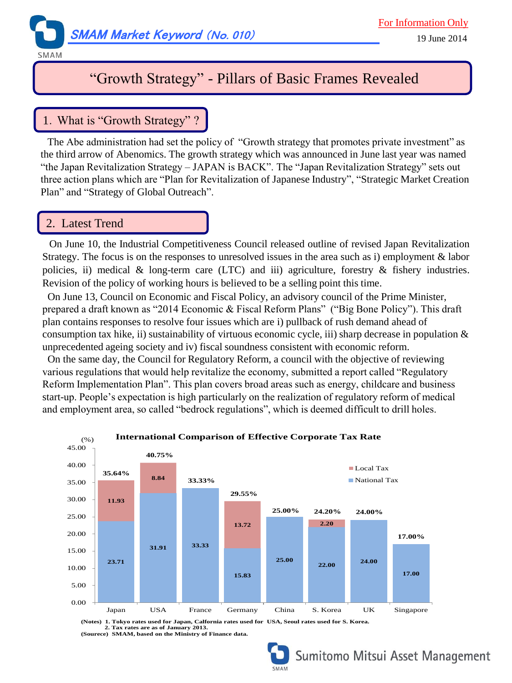

SMAM

# "Growth Strategy" - Pillars of Basic Frames Revealed

## 1.What is "Growth Strategy" ?

The Abe administration had set the policy of "Growth strategy that promotes private investment" as the third arrow of Abenomics. The growth strategy which was announced in June last year was named "the Japan Revitalization Strategy – JAPAN is BACK". The "Japan Revitalization Strategy" sets out three action plans which are "Plan for Revitalization of Japanese Industry", "Strategic Market Creation Plan" and "Strategy of Global Outreach".

### 2. Latest Trend

On June 10, the Industrial Competitiveness Council released outline of revised Japan Revitalization Strategy. The focus is on the responses to unresolved issues in the area such as i) employment & labor policies, ii) medical  $\&$  long-term care (LTC) and iii) agriculture, forestry  $\&$  fishery industries. Revision of the policy of working hours is believed to be a selling point this time.

On June 13, Council on Economic and Fiscal Policy, an advisory council of the Prime Minister, prepared a draft known as "2014 Economic & Fiscal Reform Plans" ("Big Bone Policy"). This draft plan contains responses to resolve four issues which are i) pullback of rush demand ahead of consumption tax hike, ii) sustainability of virtuous economic cycle, iii) sharp decrease in population  $\&$ unprecedented ageing society and iv) fiscal soundness consistent with economic reform.

 On the same day, the Council for Regulatory Reform, a council with the objective of reviewing various regulations that would help revitalize the economy, submitted a report called "Regulatory Reform Implementation Plan". This plan covers broad areas such as energy, childcare and business start-up. People's expectation is high particularly on the realization of regulatory reform of medical and employment area, so called "bedrock regulations", which is deemed difficult to drill holes.



**2. Tax rates are as of January 2013. (Sourece) SMAM, based on the Ministry of Finance data.**